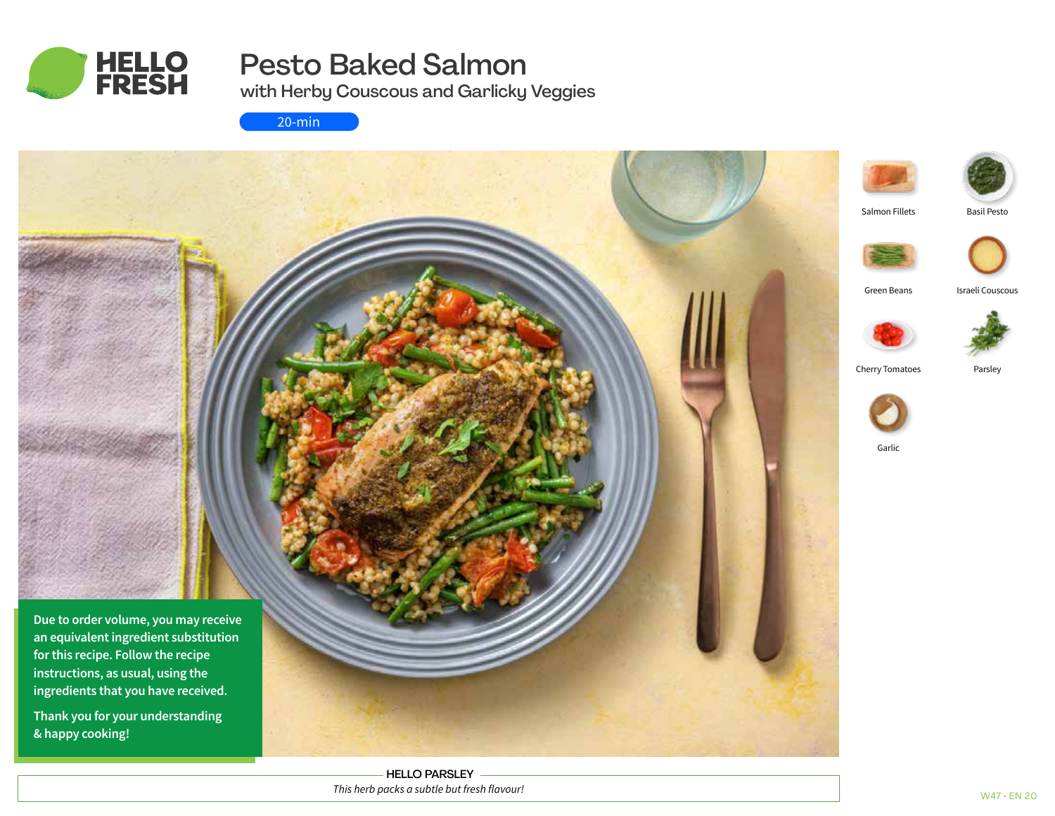

# Pesto Baked Salmon

with Herby Couscous and Garlicky Veggies

20-min



HELLO PARSLEY *This herb packs a subtle but fresh flavour!*

Basil Pesto